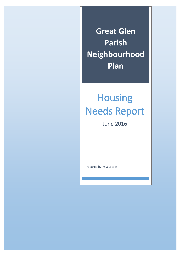**Great Glen Parish Neighbourhood Plan**

# Housing Needs Report

June 2016

Prepared by *Your*Locale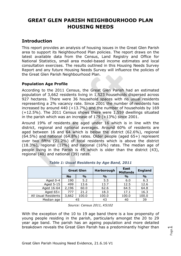# **GREAT GLEN PARISH NEIGHBOURHOOD PLAN HOUSING NEEDS**

# **Introduction**

This report provides an analysis of housing issues in the Great Glen Parish area to support its Neighbourhood Plan policies. The report draws on the latest available data from the Census, Land Registry and Office for National Statistics, small area model-based income estimates and local consultation exercises. The results outlined in this Housing Needs Survey Report and any future Housing Needs Survey will influence the policies of the Great Glen Parish Neighbourhood Plan.

## **Population Age Profile**

According to the 2011 Census, the Great Glen Parish had an estimated population of 3,662 residents living in 1,523 households dispersed across 927 hectares. There were 36 household spaces with no usual residents representing a 2% vacancy rate. Since 2001 the number of residents has increased by around  $440 (+13.7%)$  and the number of households by 169 (+12.5%). The 2011 Census shows there were 1,559 dwellings situated in the parish which was an increase of 179 (+13%) since 2001.

Around 19% of residents are aged under 16 which is in line with the district, regional and national averages. Around 60% of residents are aged between 16 and 64 which is below the district (62.6%), regional (64.5%) and national (64.8%) rates. Older people (aged 65+) represent over two fifths (21.2%) of total residents which is above the district (18.3%), regional (17%) and national (16%) rates. The median age of people living in the Parish is 45 which is older than the district (43), regional (40) and national (39) rates.

|                     | <b>Great Glen</b> |               | Harborough    | <b>East</b><br><b>Midlands</b> | <b>England</b> |
|---------------------|-------------------|---------------|---------------|--------------------------------|----------------|
|                     | <b>No</b>         | $\frac{9}{0}$ | $\frac{0}{0}$ | $\frac{1}{2}$                  | $\frac{0}{0}$  |
| Aged 0-4            | 190               | 5.2           | 5.5           | 6.0                            | 6.3            |
| Aged 5-15           | 499               | 13.6          | 13.7          | 12.5                           | 12.6           |
| Aged 16-64          | 2,196             | 60.0          | 62.6          | 64.5                           | 64.8           |
| Aged $65+$          | 777               | 21.2          | 18.3          | 17.1                           | 16.3           |
| All Usual Residents | 3,662             | 100.0         | 100.0         | 100.0                          | 100.0          |
| Median age          |                   | 45            | 43            | 40                             | 39             |

*Table 1: Usual Residents by Age Band, 2011*

*Source: Census 2011, KS102*

With the exception of the 10 to 19 age band there is a low propensity of young people residing in the parish, particularly amongst the 20 to 29 year age band. The parish has an ageing population and more detailed breakdown reveals the Great Glen Parish has a predominantly higher than

$$
\mathsf{Page}\hspace{.01in}\mathbf{1}
$$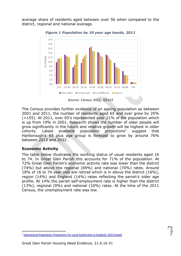average share of residents aged between over 50 when compared to the district, regional and national average.



*Figure 1 Population by 10 year age bands, 2011*

*Source: Census 2011, QS103*

The Census provides further evidence of an ageing population as between 2001 and 2011, the number of residents aged 65 and over grew by 25% (+155). At 2011, over 65's represented over 21% of the population which is up from 19% in 2001. Research shows the number of older people will grow significantly in the future and relative growth will be highest in older cohorts. Latest available population projections<sup>1</sup> suggest that Harborough's 65 plus age group is forecast to grow by around 76% between 2012 and 2032.

## **Economic Activity**

The table below illustrates the working status of usual residents aged 16 to 74. In Great Glen Parish this accounts for 71% of the population. At 72% Great Glen Parish's economic activity rate was lower than the district (74%) but above the regional (69%) and national (70%) rates. Around 18% of 16 to 74 year olds are retired which is in above the district (16%), region (14%) and England (14%) rates reflecting the parish's older age profile. At 14% the parish self-employment rate is higher than the district (13%), regional (9%) and national (10%) rates. At the time of the 2011 Census, the unemployment rate was low.

**<sup>.</sup>** <sup>1</sup> [Subnational Population Projections for Local Authorities in England:](http://www.ons.gov.uk/peoplepopulationandcommunity/populationandmigration/populationprojections/datasets/localauthoritiesinenglandtable2) 2012 based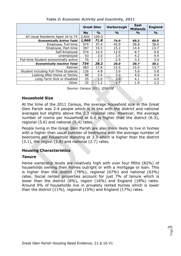|                                       | <b>Great Glen</b> |               | Harborough    | <b>East</b><br><b>Midlands</b> | <b>England</b> |
|---------------------------------------|-------------------|---------------|---------------|--------------------------------|----------------|
|                                       | <b>No</b>         | $\frac{9}{0}$ | $\frac{0}{0}$ | $\frac{0}{0}$                  | $\frac{9}{0}$  |
| All Usual Residents Aged 16 to 74     | 2,602             | 100.0         |               |                                |                |
| <b>Economically Active Total</b>      | 1,868             | 71.8          | 74.0          | 69,3                           | 69.9           |
| Employee, Full-time                   | 974               | 37.4          | 40.9          | 38.8                           | 38.6           |
| Employee, Part-time                   | 397               | 15.3          | 15.2          | 14.4                           | 13.7           |
| Self Employed                         | 374               | 14.4          | 12.9          | 8.7                            | 9.8            |
| Unemployed                            | 53                | 2.0           | 2.5           | 4.2                            | 4.4            |
| Full-time Student economically active | 70                | 2.7           | 2.5           | 3.3                            | 3.4            |
| <b>Economically inactive Total</b>    | 734               | 28.2          | 26.0          | 30.7                           | 30.1           |
| Retired                               | 463               | 17.8          | 15.5          | 15.0                           | 13.7           |
| Student including Full-Time Students  | 126               | 4.8           | 3.9           | 5.8                            | 5.8            |
| Looking After Home or Family          | 88                | 3.4           | 3.0           | 4.0                            | 4.4            |
| Long-Term Sick or Disabled            | 25                | 1.0           | 2.0           | 4.1                            | 4.0            |
| Other                                 | 32                | 1.2           | 1.7           | 1.9                            | 2.2            |

*Table 2: Economic Activity and Inactivity, 2011*

*Source: Census 2011, QS601E*

#### **Household Size**

At the time of the 2011 Census, the average household size in the Great Glen Parish was 2.4 people which is in line with the district and national averages but slightly above the 2.3 regional rate. However, the average number of rooms per household at 6.6 is higher than the district (6.3), regional (5.6) and national (5.4) rates.

People living in the Great Glen Parish are also more likely to live in homes with a higher than usual number of bedrooms with the average number of bedrooms per household standing at 3.3 which is higher than the district  $(3.1)$ , the region  $(2.8)$  and national  $(2.7)$  rates.

## **Housing Characteristics**

#### *Tenure*

Home ownership levels are relatively high with over four fifths (82%) of households owning their homes outright or with a mortgage or loan. This is higher than the district (78%), regional (67%) and national (63%) rates. Social rented properties account for just 7% of tenure which is lower than the district (8%), region (16%) and England (18%) rates. Around 9% of households live in privately rented homes which is lower than the district (11%), regional (15%) and England (17%) rates.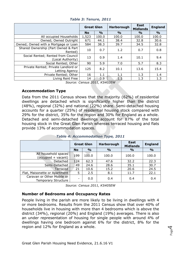|                                                         | <b>Great Glen</b> |               | Harborough    | East<br><b>Midlands</b> | <b>England</b> |
|---------------------------------------------------------|-------------------|---------------|---------------|-------------------------|----------------|
|                                                         | <b>No</b>         | $\frac{6}{6}$ | $\frac{6}{6}$ | $\frac{0}{0}$           | $\frac{6}{6}$  |
| All occupied Households                                 | 1,523             | 100.0         | 100.0         | 100.0                   | 100.0          |
| Owned; Owned Outright                                   | 671               | 44.1          | 38.4          | 32.8                    | 30.6           |
| Owned; Owned with a Mortgage or Loan                    | 584               | 38.3          | 39.7          | 34.5                    | 32.8           |
| Shared Ownership (Part Owned & Part<br>Rented)          | 10                | 0.7           | 1.2           | 0.7                     | 0.8            |
| Social Rented; Rented from Council<br>(Local Authority) | 13                | 0.9           | 1.4           | 10.1                    | 9.4            |
| Social Rented; Other                                    | 90                | 5.9           | 7.0           | 5.7                     | 8.3            |
| Private Rented; Private Landlord or<br>Letting Agency   | 125               | 8.2           | 10.1          | 13.6                    | 15.4           |
| Private Rented; Other                                   | 16                | 1.1           | 1.1           | 1.3                     | 1.4            |
| Living Rent Free                                        | 14                | 0.9           | 1.1           | 1.3                     | 1.3            |

*Table 3: Tenure, 2011*

*Source: Census 2011, KS402EW*

#### **Accommodation Type**

Data from the 2011 Census shows that the majority (62%) of residential dwellings are detached which is significantly higher than the district (48%), regional (32%) and national (22%) share. Semi-detached housing accounts for a quarter (25%) of residential housing stock compared with 29% for the district, 35% for the region and 30% for England as a whole. Detached and semi-detached dwellings account for 87% of the total housing stock in the Great Glen Parish whereas terraced housing and flats provide 13% of accommodation spaces.

|                                                          | <b>Great Glen</b> |               | Harborough    | <b>East</b><br><b>Midlands</b> | <b>England</b> |
|----------------------------------------------------------|-------------------|---------------|---------------|--------------------------------|----------------|
|                                                          | <b>No</b>         | $\frac{9}{0}$ | $\frac{0}{0}$ | $\frac{0}{0}$                  | $\frac{1}{2}$  |
| All household spaces<br>(occupied + vacant)              | 199               | 100.0         | 100.0         | 100.0                          | 100.0          |
| Detached                                                 | 124               | 62.3          | 47.6          | 32.2                           | 22.3           |
| Semi-Detached                                            | 49                | 24.6          | 28.6          | 35.1                           | 30.7           |
| Terraced                                                 | 21                | 10.6          | 15.2          | 20.6                           | 24.5           |
| Flat, Maisonette or Apartment                            | 5                 | 2.5           | 8.1           | 11.7                           | 22.1           |
| Caravan or Other Mobile or<br><b>Temporary Structure</b> |                   | 0.0           | 0.4           | 0.4                            | 0.4            |

*Table 4: Accommodation Type, 2011*

*Source: Census 2011, KS405EW*

#### **Number of Bedrooms and Occupancy Rates**

People living in the parish are more likely to be living in dwellings with 4 or more bedrooms. Results from the 2011 Census show that over 40% of households live in housing with more than 4 bedrooms which is above the district (34%), regional (20%) and England (19%) averages. There is also an under representation of housing for single people with around 4% of dwellings having one bedroom against 6% for the district, 8% for the region and 12% for England as a whole.

Page  $\overline{\mathcal{A}}$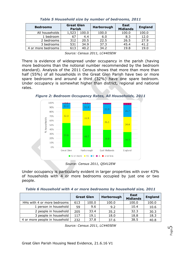| <b>Bedrooms</b>    | <b>Great Glen</b><br><b>Parish</b> |       | <b>Harborough</b> | East<br><b>Midlands</b> | <b>England</b> |
|--------------------|------------------------------------|-------|-------------------|-------------------------|----------------|
| All households     | 1,523                              | 100.0 | 100.0             | 100.0                   | 100.0          |
| 1 bedroom          | 67                                 | 4.4   | 6.0               | 8.3                     | 12.0           |
| 2 bedrooms         | 312                                | 20.5  | 22.5              | 26.5                    | 27.9           |
| 3 bedrooms         | 531                                | 34.9  | 37.3              | 45.4                    | 41.2           |
| 4 or more bedrooms | 613                                | 40.2  | 34.2              | 19.8                    | 19.0           |

*Table 5 Household size by number of bedrooms, 2011*

*Source: Census 2011, LC4405EW*

There is evidence of widespread under occupancy in the parish (having more bedrooms than the notional number recommended by the bedroom standard). Analysis of the 2011 Census shows that more than more than half (55%) of all households in the Great Glen Parish have two or more spare bedrooms and around a third (32%) have one spare bedroom. Under occupancy is somewhat higher than district, regional and national rates.

*Figure 2: Bedroom Occupancy Rates, All Households, 2011*



*Source: Census 2011, QS412EW*

Under occupancy is particularly evident in larger properties with over 43% of households with 4 or more bedrooms occupied by just one or two people.

| Table 6 Household with 4 or more bedrooms by household size, 2011 |  |  |  |  |
|-------------------------------------------------------------------|--|--|--|--|
|                                                                   |  |  |  |  |

|                               | <b>Great Glen</b> |       | Harborough | East<br><b>Midlands</b> | <b>England</b> |
|-------------------------------|-------------------|-------|------------|-------------------------|----------------|
| HHs with 4 or more bedrooms   | 613               | 100.0 | 100.0      | 100.0                   | 100.0          |
| 1 person in household         | 59                | 9.6   | 9.2        | 10.4                    | 10.6           |
| 2 people in household         | 205               | 33.4  | 35.2       | 32.3                    | 30.3           |
| 3 people in household         | 117               | 19.1  | 18.0       | 18.8                    | 18.3           |
| 4 or more people in household | 232               | 37.8  | 37.6       | 38.5                    | 40.8           |

*Source: Census 2011, LC4405EW*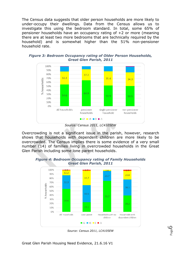The Census data suggests that older person households are more likely to under-occupy their dwellings. Data from the Census allows us to investigate this using the bedroom standard. In total, some 65% of pensioner households have an occupancy rating of +2 or more (meaning there are at least two more bedrooms that are technically required by the household) and is somewhat higher than the 51% non-pensioner household rate.





*Source: Census 2011, LC4105EW*

Overcrowding is not a significant issue in the parish, however, research shows that households with dependent children are more likely to be overcrowded. The Census implies there is some evidence of a very small number (14) of families living in overcrowded households in the Great Glen Parish including some lone parent households.



*Figure 4: Bedroom Occupancy rating of Family Households Great Glen Parish, 2011*

*Source: Census 2011, LC4105EW*

Page ص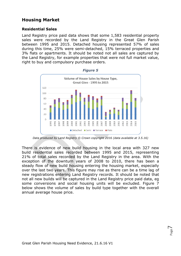# **Housing Market**

#### **Residential Sales**

Land Registry price paid data shows that some 1,583 residential property sales were recorded by the Land Registry in the Great Glen Parish between 1995 and 2015. Detached housing represented 57% of sales during this time, 25% were semi-detached, 15% terraced properties and 3% flats or apartments. It should be noted not all sales are captured by the Land Registry, for example properties that were not full market value, right to buy and compulsory purchase orders.





*Data produced by Land Registry © Crown copyright 2016 (data available at 3.5.16)*

There is evidence of new build housing in the local area with 327 new build residential sales recorded between 1995 and 2015, representing 21% of total sales recorded by the Land Registry in the area. With the exception of the downturn years of 2008 to 2010, there has been a steady flow of new build housing entering the housing market, especially over the last two years. This figure may rise as there can be a time lag of new registrations entering Land Registry records. It should be noted that not all new builds will be captured in the Land Registry price paid data, eg some conversions and social housing units will be excluded. Figure 7 below shows the volume of sales by build type together with the overall annual average house price.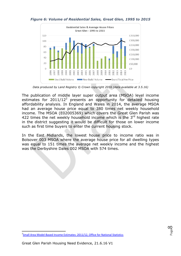

#### *Figure 6: Volume of Residential Sales, Great Glen, 1995 to 2015*

*Data produced by Land Registry © Crown copyright 2016 (data available at 3.5.16)*

The publication of middle layer super output area (MSOA) level income estimates for  $2011/12^2$  presents an opportunity for detailed housing affordability analysis. In England and Wales in 2014, the average MSOA had an average house price equal to 380 times net weekly household income. The MSOA (E02005369) which covers the Great Glen Parish was 422 times the net weekly household income which is the  $3<sup>rd</sup>$  highest rate in the district suggesting it would be difficult for those on lower income such as first time buyers to enter the current housing stock.

In the East Midlands, the lowest house price to income ratio was in Bolsover 003 MSOA where the average house price for all dwelling types was equal to 151 times the average net weekly income and the highest was the Derbyshire Dales 002 MSOA with 574 times.



**<sup>.</sup>** <sup>2</sup>[Small Area Model-Based Income Estimates: 2011/12, Office for National Statistics](http://www.ons.gov.uk/employmentandlabourmarket/peopleinwork/earningsandworkinghours/bulletins/smallareamodelbasedincomeestimates/2015-10-20)